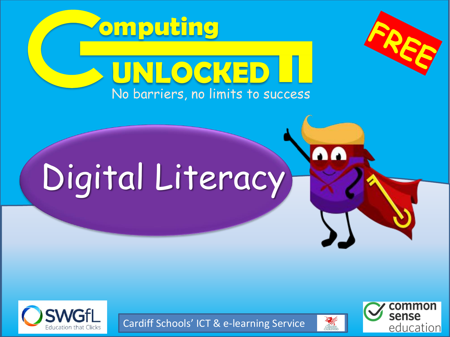





Cardiff Schools' ICT & e-learning Service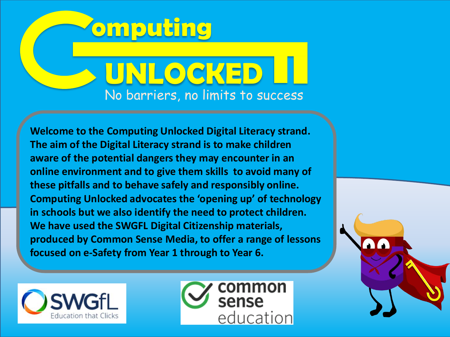

**Welcome to the Computing Unlocked Digital Literacy strand. The aim of the Digital Literacy strand is to make children aware of the potential dangers they may encounter in an online environment and to give them skills to avoid many of these pitfalls and to behave safely and responsibly online. Computing Unlocked advocates the 'opening up' of technology in schools but we also identify the need to protect children. We have used the SWGFL Digital Citizenship materials, produced by Common Sense Media, to offer a range of lessons focused on e-Safety from Year 1 through to Year 6.**



education

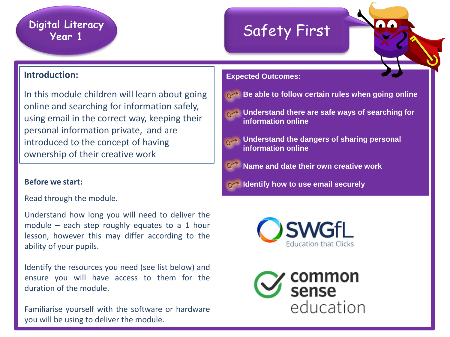# **Digital Literacy**

## **Year 1** Safety First

### **Introduction:**

In this module children will learn about going online and searching for information safely, using email in the correct way, keeping their personal information private, and are introduced to the concept of having ownership of their creative work

Read through the module.

Understand how long you will need to deliver the module – each step roughly equates to a 1 hour lesson, however this may differ according to the ability of your pupils.

Identify the resources you need (see list below) and ensure you will have access to them for the duration of the module.

Familiarise yourself with the software or hardware you will be using to deliver the module.

- **Be able to follow certain rules when going online**
- **Understand there are safe ways of searching for information online**
- **Understand the dangers of sharing personal information online**
	- **Name and date their own creative work**
- **Before** we start: **Before** we start: **Start: Start: Start: start: start: start: start: start: start: start: start: start: start: start: start: start: start: start: start: start: sta**



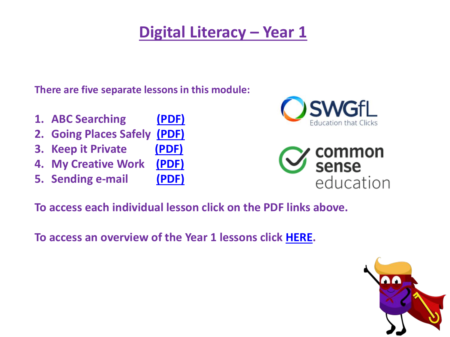**There are five separate lessons in this module:**

- **1. ABC Searching [\(PDF\)](http://www.computingunlocked.org.uk/uploads/1/0/7/8/107896963/k-2-unit1-abcsearching.pdf)**
- **2. Going Places Safely [\(PDF\)](http://www.computingunlocked.org.uk/uploads/1/0/7/8/107896963/k-2-unit1-goingplacessafely.pdf)**
- **3. Keep it Private [\(PDF\)](http://www.computingunlocked.org.uk/uploads/1/0/7/8/107896963/k-2-unit1-keepitprivate.pdf)**
- **4. My Creative Work [\(PDF\)](http://www.computingunlocked.org.uk/uploads/1/0/7/8/107896963/k-2-unit1-mycreativework.pdf)**
- **5. Sending e-mail [\(PDF\)](http://www.computingunlocked.org.uk/uploads/1/0/7/8/107896963/k-2-unit1-sendingemail.pdf)**





**To access each individual lesson click on the PDF links above.** 

**To access an overview of the Year 1 lessons click [HERE](https://107896963-821535393513469687.preview.editmysite.com/uploads/1/0/7/8/107896963/overview_year_1.pdf).**

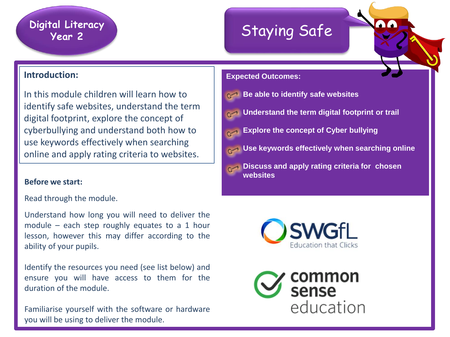# **Digital Literacy**

## rai Literacy<br>Year 2 Staying Safe

### **Introduction:**

In this module children will learn how to identify safe websites, understand the term digital footprint, explore the concept of cyberbullying and understand both how to use keywords effectively when searching online and apply rating criteria to websites.

#### **Before we start:**

Read through the module.

Understand how long you will need to deliver the module – each step roughly equates to a 1 hour lesson, however this may differ according to the ability of your pupils.

Identify the resources you need (see list below) and ensure you will have access to them for the duration of the module.

Familiarise yourself with the software or hardware you will be using to deliver the module.





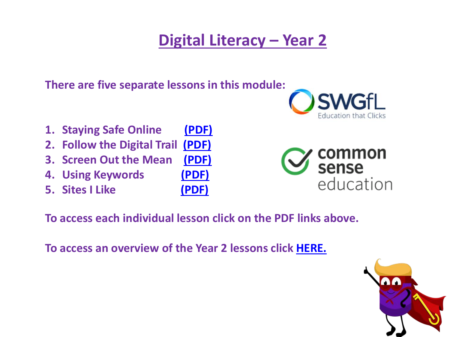**There are five separate lessons in this module:**

- **1. Staying Safe Online [\(PDF\)](http://www.computingunlocked.org.uk/uploads/1/0/7/8/107896963/k-2-unit2-stayingsafeonline.pdf)**
- **2. Follow the Digital Trail [\(PDF\)](http://www.computingunlocked.org.uk/uploads/1/0/7/8/107896963/k-2-unit2-followthedigitaltrail.pdf)**
- **3. Screen Out the Mean [\(PDF\)](http://www.computingunlocked.org.uk/uploads/1/0/7/8/107896963/k-2-unit2-screenoutthemean.pdf)**
- **4. Using Keywords [\(PDF\)](http://www.computingunlocked.org.uk/uploads/1/0/7/8/107896963/k-2-unit2-usingkeywords.pdf)**
- **5. Sites I Like [\(PDF\)](http://www.computingunlocked.org.uk/uploads/1/0/7/8/107896963/k-2-unit2-sitesilike.pdf)**
- 





**To access each individual lesson click on the PDF links above.** 

**To access an overview of the Year 2 lessons click [HERE.](https://107896963-821535393513469687.preview.editmysite.com/uploads/1/0/7/8/107896963/overview_year_2.pdf)**

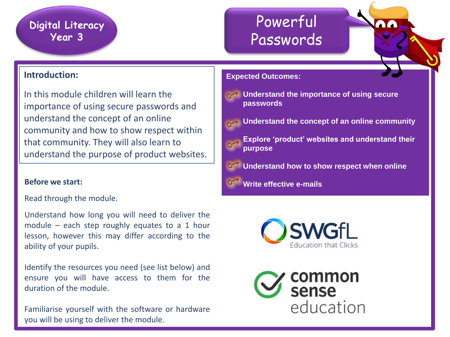### Powerful Passwords

### **Introduction:**

In this module children will learn the importance of using secure passwords and understand the concept of an online community and how to show respect within that community. They will also learn to understand the purpose of product websites.

Read through the module.

Understand how long you will need to deliver the module – each step roughly equates to a 1 hour lesson, however this may differ according to the ability of your pupils.

Identify the resources you need (see list below) and ensure you will have access to them for the duration of the module.

Familiarise yourself with the software or hardware you will be using to deliver the module.

- **Example 13 Understand the importance of using secure passwords**
- **Understand the concept of an online community**
	- **Explore 'product' websites and understand their purpose**
	- **Understand how to show respect when online**
- **Before** we start: **but a start: but a start: start: but a start: start: start: but a start: start: but a start: but a start: but a start: but a start: but a start: but a start: but a start: b**



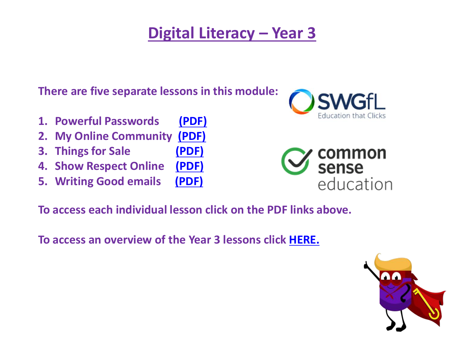**There are five separate lessons in this module:**

- **1. Powerful Passwords [\(PDF\)](http://www.computingunlocked.org.uk/uploads/1/0/7/8/107896963/k-2-unit3-powerfulpasswords.pdf)**
- **2. My Online Community [\(PDF\)](http://www.computingunlocked.org.uk/uploads/1/0/7/8/107896963/k-2-unit3-myonlinecommunity.pdf)**
- **3. Things for Sale [\(PDF\)](http://www.computingunlocked.org.uk/uploads/1/0/7/8/107896963/k-2-unit3-thingsforsale.pdf)**
- **4. Show Respect Online [\(PDF\)](http://www.computingunlocked.org.uk/uploads/1/0/7/8/107896963/k-2-unit3-showrespectonline.pdf)**
- **5. Writing Good emails [\(PDF\)](http://www.computingunlocked.org.uk/uploads/1/0/7/8/107896963/k-2-unit3-writinggoodemails.pdf)**





**To access each individual lesson click on the PDF links above.** 

**To access an overview of the Year 3 lessons click [HERE.](https://107896963-821535393513469687.preview.editmysite.com/uploads/1/0/7/8/107896963/overview_year_3.pdf)**

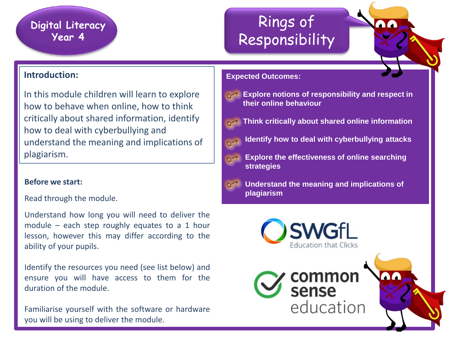### Rings of Responsibility

### **Introduction:**

In this module children will learn to explore how to behave when online, how to think critically about shared information, identify how to deal with cyberbullying and understand the meaning and implications of plagiarism.

#### **Before we start:**

Read through the module.

Understand how long you will need to deliver the module – each step roughly equates to a 1 hour lesson, however this may differ according to the ability of your pupils.

Identify the resources you need (see list below) and ensure you will have access to them for the duration of the module.

Familiarise yourself with the software or hardware you will be using to deliver the module.



- **Explore notions of responsibility and respect in their online behaviour**
- **Think critically about shared online information** 
	- **Identify how to deal with cyberbullying attacks**
	- **Explore the effectiveness of online searching strategies**
	- **Understand the meaning and implications of plagiarism**

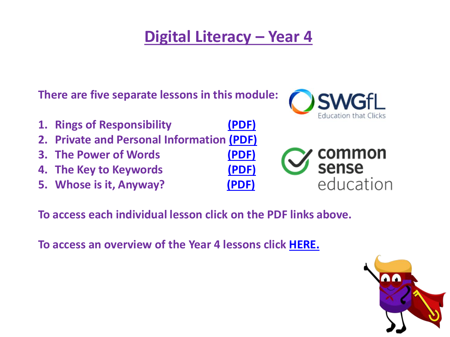**There are five separate lessons in this module:**



- **1. Rings of Responsibility [\(PDF\)](http://www.computingunlocked.org.uk/uploads/1/0/7/8/107896963/3-5-unit1-ringsofresponsibility.pdf)**
- **2. Private and Personal Information [\(PDF\)](http://www.computingunlocked.org.uk/uploads/1/0/7/8/107896963/3-5-unit1-privateandpersonalinformation.pdf)**
- **3. The Power of Words [\(PDF\)](http://www.computingunlocked.org.uk/uploads/1/0/7/8/107896963/3-5-unit1-thepowerofwords.pdf)**
- **4. The Key to Keywords [\(PDF\)](http://www.computingunlocked.org.uk/uploads/1/0/7/8/107896963/3-5-unit1-thekeytokeywords.pdf)**
- **5. Whose is it, Anyway? [\(PDF\)](http://www.computingunlocked.org.uk/uploads/1/0/7/8/107896963/3-5-unit1-whoseisitanyway.pdf)**



**To access each individual lesson click on the PDF links above.** 

**To access an overview of the Year 4 lessons click [HERE.](https://107896963-821535393513469687.preview.editmysite.com/uploads/1/0/7/8/107896963/overview_year_4.pdf)**

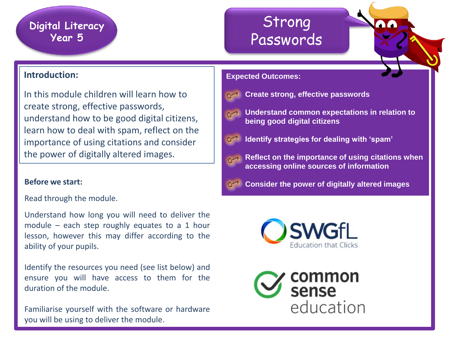### Strong Passwords

### **Introduction:**

In this module children will learn how to create strong, effective passwords, understand how to be good digital citizens, learn how to deal with spam, reflect on the importance of using citations and consider the power of digitally altered images.

Read through the module.

Understand how long you will need to deliver the module – each step roughly equates to a 1 hour lesson, however this may differ according to the ability of your pupils.

Identify the resources you need (see list below) and ensure you will have access to them for the duration of the module.

Familiarise yourself with the software or hardware you will be using to deliver the module.



- **Create strong, effective passwords**
- - **Understand common expectations in relation to being good digital citizens**
	- **Identify strategies for dealing with 'spam'** 
		- **Reflect on the importance of using citations when accessing online sources of information**
- **Before** we start: **Start: Before** we start: **Start images start: start images start: start images start: start images**



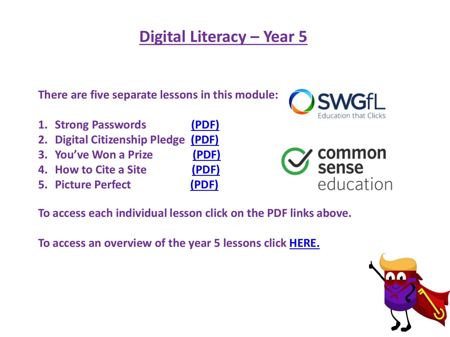**There are five separate lessons in this module:**

- **1. Strong Passwords [\(PDF\)](http://www.computingunlocked.org.uk/uploads/1/0/7/8/107896963/3-5-unit2-strongpasswords.pdf)**
- **2. Digital Citizenship Pledge [\(PDF\)](http://www.computingunlocked.org.uk/uploads/1/0/7/8/107896963/3-5-unit2-digitalcitizenshippledge.pdf)**
- **3. You've Won a Prize [\(PDF\)](http://www.computingunlocked.org.uk/uploads/1/0/7/8/107896963/3-5-unit2-youvewonaprize.pdf)**
- **4. How to Cite a Site [\(PDF\)](http://www.computingunlocked.org.uk/uploads/1/0/7/8/107896963/3-5-unit2-howtociteasite.pdf)**
- **5. Picture Perfect [\(PDF\)](http://www.computingunlocked.org.uk/uploads/1/0/7/8/107896963/3-5-unit2-pictureperfect.pdf)**
- 







**To access each individual lesson click on the PDF links above.** 

**To access an overview of the year 5 lessons click [HERE.](https://107896963-821535393513469687.preview.editmysite.com/uploads/1/0/7/8/107896963/overview_year_5.pdf)**

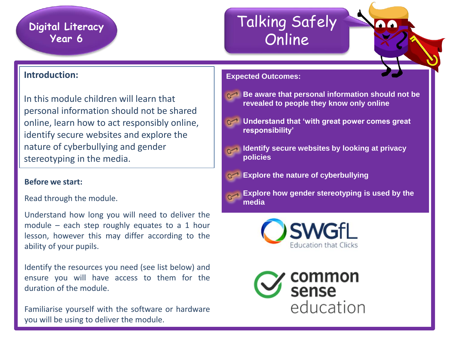## Talking Safely Online

### **Introduction:**

In this module children will learn that personal information should not be shared online, learn how to act responsibly online, identify secure websites and explore the nature of cyberbullying and gender stereotyping in the media.

#### **Before we start:**

Read through the module.

Understand how long you will need to deliver the module – each step roughly equates to a 1 hour lesson, however this may differ according to the ability of your pupils.

Identify the resources you need (see list below) and ensure you will have access to them for the duration of the module.

Familiarise yourself with the software or hardware you will be using to deliver the module.

#### **Expected Outcomes:**



- **Be aware that personal information should not be revealed to people they know only online**
- **Understand that 'with great power comes great responsibility'**
	- **Identify secure websites by looking at privacy policies**
- **Explore the nature of cyberbullying**
- **Explore how gender stereotyping is used by the media**



common<br>sense education